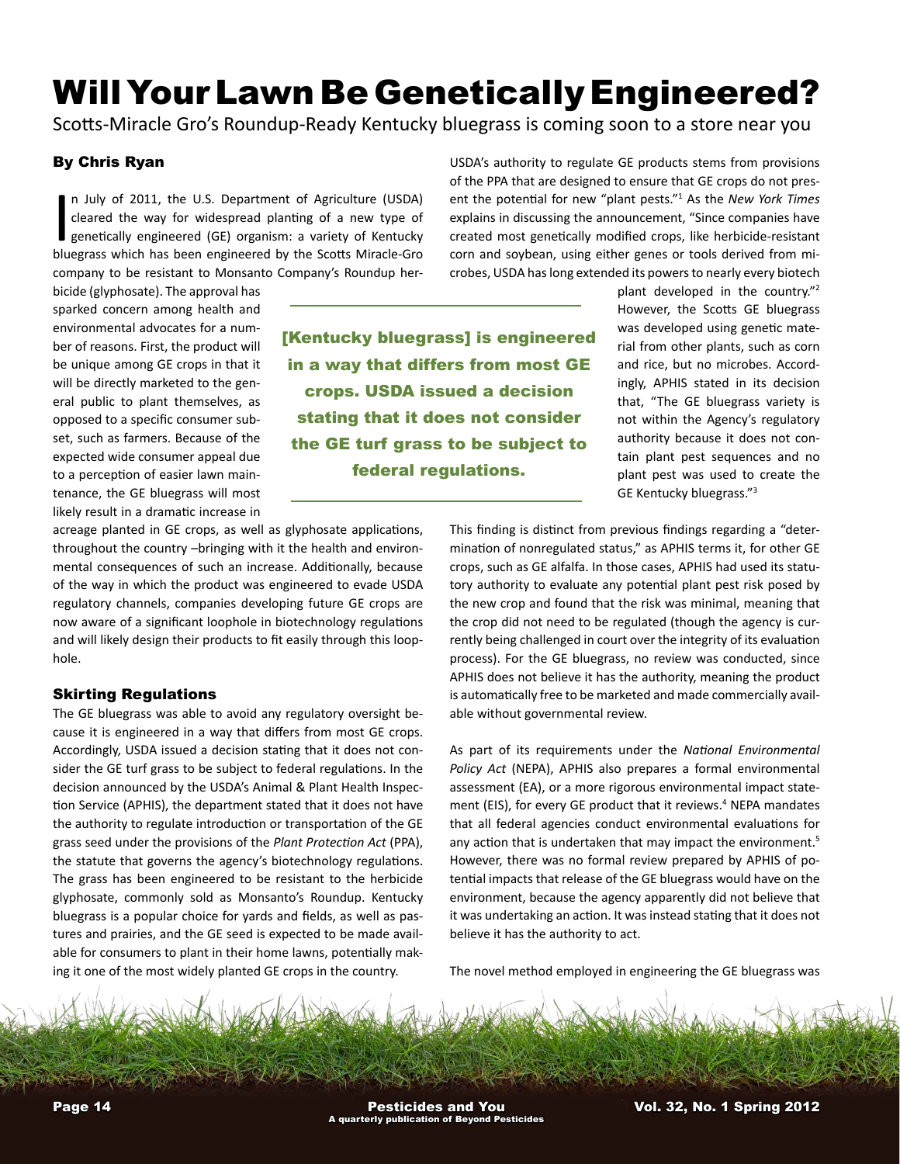# Will Your Lawn Be Genetically Engineered?

Scotts-Miracle Gro's Roundup-Ready Kentucky bluegrass is coming soon to a store near you

## By Chris Ryan

In July of 2011, the U.S. Department of Agriculture (USDA) cleared the way for widespread planting of a new type of genetically engineered (GE) organism: a variety of Kentucky bluegrass which has been engineered by the Sco n July of 2011, the U.S. Department of Agriculture (USDA) cleared the way for widespread planting of a new type of genetically engineered (GE) organism: a variety of Kentucky company to be resistant to Monsanto Company's Roundup her-

bicide (glyphosate). The approval has sparked concern among health and environmental advocates for a number of reasons. First, the product will be unique among GE crops in that it will be directly marketed to the general public to plant themselves, as opposed to a specific consumer subset, such as farmers. Because of the expected wide consumer appeal due to a perception of easier lawn maintenance, the GE bluegrass will most likely result in a dramatic increase in

[Kentucky bluegrass] is engineered in a way that differs from most GE crops. USDA issued a decision stating that it does not consider the GE turf grass to be subject to federal regulations.

USDA's authority to regulate GE products stems from provisions of the PPA that are designed to ensure that GE crops do not present the potential for new "plant pests."1 As the *New York Times*  explains in discussing the announcement, "Since companies have created most genetically modified crops, like herbicide-resistant corn and soybean, using either genes or tools derived from microbes, USDA has long extended its powers to nearly every biotech

> plant developed in the country."2 However, the Scotts GE bluegrass was developed using genetic material from other plants, such as corn and rice, but no microbes. Accordingly, APHIS stated in its decision that, "The GE bluegrass variety is not within the Agency's regulatory authority because it does not contain plant pest sequences and no plant pest was used to create the GE Kentucky bluegrass."3

acreage planted in GE crops, as well as glyphosate applications, throughout the country –bringing with it the health and environmental consequences of such an increase. Additionally, because of the way in which the product was engineered to evade USDA regulatory channels, companies developing future GE crops are now aware of a significant loophole in biotechnology regulations and will likely design their products to fit easily through this loophole.

### Skirting Regulations

The GE bluegrass was able to avoid any regulatory oversight because it is engineered in a way that differs from most GE crops. Accordingly, USDA issued a decision stating that it does not consider the GE turf grass to be subject to federal regulations. In the decision announced by the USDA's Animal & Plant Health Inspection Service (APHIS), the department stated that it does not have the authority to regulate introduction or transportation of the GE grass seed under the provisions of the *Plant Protection Act* (PPA), the statute that governs the agency's biotechnology regulations. The grass has been engineered to be resistant to the herbicide glyphosate, commonly sold as Monsanto's Roundup. Kentucky bluegrass is a popular choice for yards and fields, as well as pastures and prairies, and the GE seed is expected to be made available for consumers to plant in their home lawns, potentially making it one of the most widely planted GE crops in the country.

This finding is distinct from previous findings regarding a "determination of nonregulated status," as APHIS terms it, for other GE crops, such as GE alfalfa. In those cases, APHIS had used its statutory authority to evaluate any potential plant pest risk posed by the new crop and found that the risk was minimal, meaning that the crop did not need to be regulated (though the agency is currently being challenged in court over the integrity of its evaluation process). For the GE bluegrass, no review was conducted, since APHIS does not believe it has the authority, meaning the product is automatically free to be marketed and made commercially available without governmental review.

As part of its requirements under the *National Environmental Policy Act* (NEPA), APHIS also prepares a formal environmental assessment (EA), or a more rigorous environmental impact statement (EIS), for every GE product that it reviews.<sup>4</sup> NEPA mandates that all federal agencies conduct environmental evaluations for any action that is undertaken that may impact the environment.<sup>5</sup> However, there was no formal review prepared by APHIS of potential impacts that release of the GE bluegrass would have on the environment, because the agency apparently did not believe that it was undertaking an action. It was instead stating that it does not believe it has the authority to act.

The novel method employed in engineering the GE bluegrass was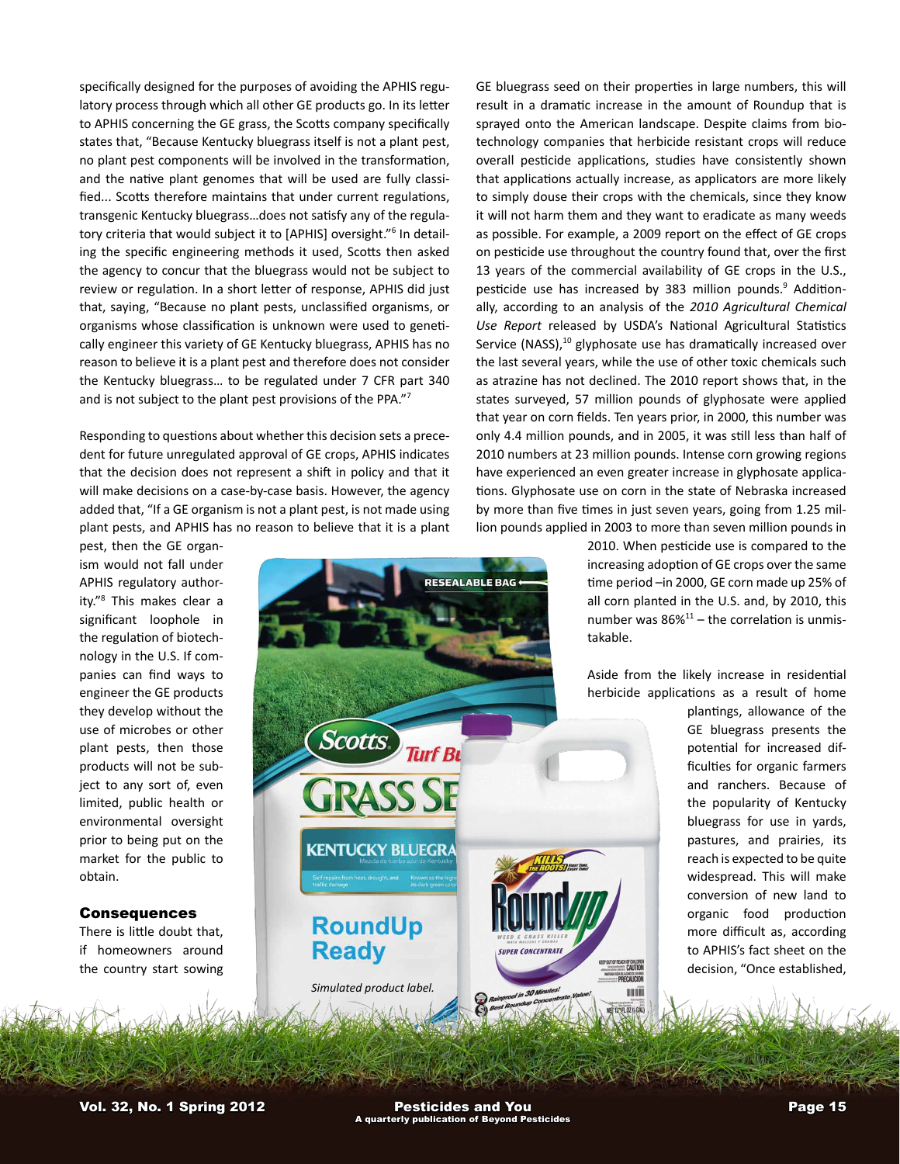specifically designed for the purposes of avoiding the APHIS regulatory process through which all other GE products go. In its letter to APHIS concerning the GE grass, the Scotts company specifically states that, "Because Kentucky bluegrass itself is not a plant pest, no plant pest components will be involved in the transformation, and the native plant genomes that will be used are fully classified... Scotts therefore maintains that under current regulations, transgenic Kentucky bluegrass…does not satisfy any of the regulatory criteria that would subject it to [APHIS] oversight."6 In detailing the specific engineering methods it used, Scotts then asked the agency to concur that the bluegrass would not be subject to review or regulation. In a short letter of response, APHIS did just that, saying, "Because no plant pests, unclassified organisms, or organisms whose classification is unknown were used to genetically engineer this variety of GE Kentucky bluegrass, APHIS has no reason to believe it is a plant pest and therefore does not consider the Kentucky bluegrass… to be regulated under 7 CFR part 340 and is not subject to the plant pest provisions of the PPA."7

Responding to questions about whether this decision sets a precedent for future unregulated approval of GE crops, APHIS indicates that the decision does not represent a shift in policy and that it will make decisions on a case-by-case basis. However, the agency added that, "If a GE organism is not a plant pest, is not made using plant pests, and APHIS has no reason to believe that it is a plant

**Scotts** 

**GRASS SE** 

**KENTUCKY BLUEGRA** 

**RoundUp** 

**Ready** 

pest, then the GE organism would not fall under APHIS regulatory authority."8 This makes clear a significant loophole in the regulation of biotechnology in the U.S. If companies can find ways to engineer the GE products they develop without the use of microbes or other plant pests, then those products will not be subject to any sort of, even limited, public health or environmental oversight prior to being put on the market for the public to obtain.

#### Consequences

There is little doubt that, if homeowners around the country start sowing

GE bluegrass seed on their properties in large numbers, this will result in a dramatic increase in the amount of Roundup that is sprayed onto the American landscape. Despite claims from biotechnology companies that herbicide resistant crops will reduce overall pesticide applications, studies have consistently shown that applications actually increase, as applicators are more likely to simply douse their crops with the chemicals, since they know it will not harm them and they want to eradicate as many weeds as possible. For example, a 2009 report on the effect of GE crops on pesticide use throughout the country found that, over the first 13 years of the commercial availability of GE crops in the U.S., pesticide use has increased by 383 million pounds.<sup>9</sup> Additionally, according to an analysis of the *2010 Agricultural Chemical Use Report* released by USDA's National Agricultural Statistics Service (NASS), $10$  glyphosate use has dramatically increased over the last several years, while the use of other toxic chemicals such as atrazine has not declined. The 2010 report shows that, in the states surveyed, 57 million pounds of glyphosate were applied that year on corn fields. Ten years prior, in 2000, this number was only 4.4 million pounds, and in 2005, it was still less than half of 2010 numbers at 23 million pounds. Intense corn growing regions have experienced an even greater increase in glyphosate applications. Glyphosate use on corn in the state of Nebraska increased by more than five times in just seven years, going from 1.25 million pounds applied in 2003 to more than seven million pounds in

> 2010. When pesticide use is compared to the increasing adoption of GE crops over the same time period –in 2000, GE corn made up 25% of all corn planted in the U.S. and, by 2010, this number was  $86\%^{11}$  – the correlation is unmistakable.

> Aside from the likely increase in residential herbicide applications as a result of home

> > ACH OF CHILDREN<br>!!!: CAUTION PRECAUCIO mill

plantings, allowance of the GE bluegrass presents the potential for increased difficulties for organic farmers and ranchers. Because of the popularity of Kentucky bluegrass for use in yards, pastures, and prairies, its reach is expected to be quite widespread. This will make conversion of new land to organic food production more difficult as, according to APHIS's fact sheet on the decision, "Once established,

*Simulated product label.*

**Turf Bu** 

**RESEALABLE BAG**